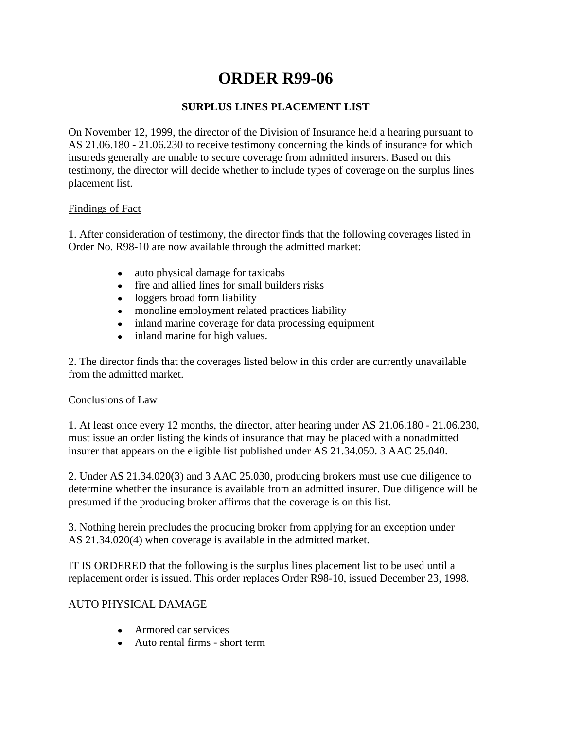# **ORDER R99-06**

## **SURPLUS LINES PLACEMENT LIST**

On November 12, 1999, the director of the Division of Insurance held a hearing pursuant to AS 21.06.180 - 21.06.230 to receive testimony concerning the kinds of insurance for which insureds generally are unable to secure coverage from admitted insurers. Based on this testimony, the director will decide whether to include types of coverage on the surplus lines placement list.

## Findings of Fact

1. After consideration of testimony, the director finds that the following coverages listed in Order No. R98-10 are now available through the admitted market:

- auto physical damage for taxicabs  $\bullet$
- fire and allied lines for small builders risks
- loggers broad form liability
- monoline employment related practices liability
- inland marine coverage for data processing equipment
- inland marine for high values.  $\bullet$

2. The director finds that the coverages listed below in this order are currently unavailable from the admitted market.

## Conclusions of Law

1. At least once every 12 months, the director, after hearing under AS 21.06.180 - 21.06.230, must issue an order listing the kinds of insurance that may be placed with a nonadmitted insurer that appears on the eligible list published under AS 21.34.050. 3 AAC 25.040.

2. Under AS 21.34.020(3) and 3 AAC 25.030, producing brokers must use due diligence to determine whether the insurance is available from an admitted insurer. Due diligence will be presumed if the producing broker affirms that the coverage is on this list.

3. Nothing herein precludes the producing broker from applying for an exception under AS 21.34.020(4) when coverage is available in the admitted market.

IT IS ORDERED that the following is the surplus lines placement list to be used until a replacement order is issued. This order replaces Order R98-10, issued December 23, 1998.

## AUTO PHYSICAL DAMAGE

- Armored car services
- Auto rental firms short term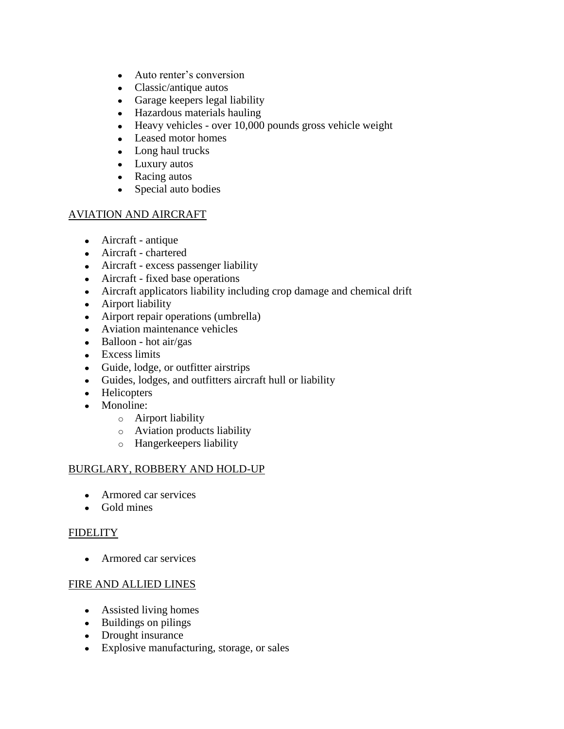- Auto renter's conversion
- Classic/antique autos
- Garage keepers legal liability
- Hazardous materials hauling
- Heavy vehicles over 10,000 pounds gross vehicle weight
- Leased motor homes
- Long haul trucks
- Luxury autos
- Racing autos
- Special auto bodies

## AVIATION AND AIRCRAFT

- Aircraft antique
- Aircraft chartered
- Aircraft excess passenger liability
- Aircraft fixed base operations
- Aircraft applicators liability including crop damage and chemical drift
- Airport liability
- Airport repair operations (umbrella)
- Aviation maintenance vehicles
- $\bullet$  Balloon hot air/gas
- Excess limits
- Guide, lodge, or outfitter airstrips
- Guides, lodges, and outfitters aircraft hull or liability
- Helicopters
- Monoline:
	- o Airport liability
	- o Aviation products liability
	- o Hangerkeepers liability

#### BURGLARY, ROBBERY AND HOLD-UP

- Armored car services
- Gold mines

#### **FIDELITY**

• Armored car services

## FIRE AND ALLIED LINES

- Assisted living homes
- Buildings on pilings
- Drought insurance
- Explosive manufacturing, storage, or sales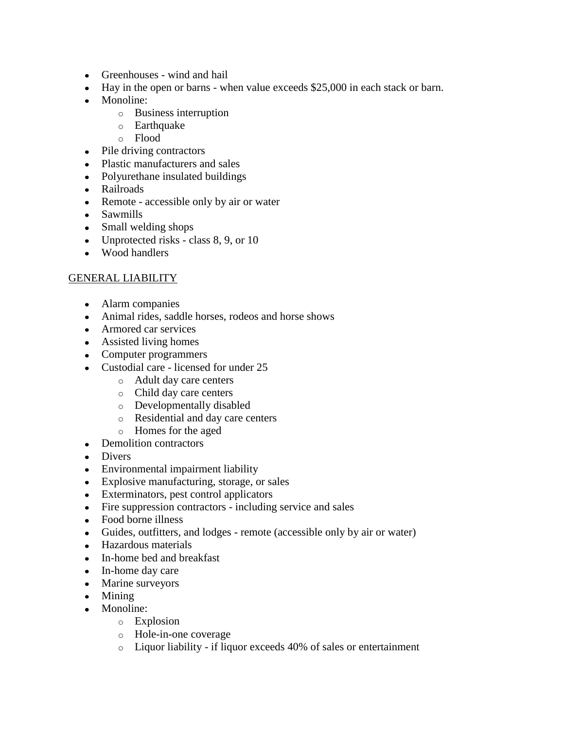- Greenhouses wind and hail
- Hay in the open or barns when value exceeds \$25,000 in each stack or barn.
- Monoline:
	- o Business interruption
	- o Earthquake
	- o Flood
- Pile driving contractors
- Plastic manufacturers and sales
- Polyurethane insulated buildings
- Railroads
- Remote accessible only by air or water
- Sawmills
- Small welding shops
- Unprotected risks class 8, 9, or 10
- Wood handlers

## GENERAL LIABILITY

- Alarm companies
- Animal rides, saddle horses, rodeos and horse shows
- Armored car services
- Assisted living homes
- Computer programmers
- Custodial care licensed for under 25
	- o Adult day care centers
	- o Child day care centers
	- o Developmentally disabled
	- o Residential and day care centers
	- o Homes for the aged
- Demolition contractors
- Divers
- Environmental impairment liability
- Explosive manufacturing, storage, or sales
- Exterminators, pest control applicators
- Fire suppression contractors including service and sales
- Food borne illness
- Guides, outfitters, and lodges remote (accessible only by air or water)
- Hazardous materials
- In-home bed and breakfast
- In-home day care
- Marine surveyors
- Mining
- Monoline:
	- o Explosion
	- o Hole-in-one coverage
	- o Liquor liability if liquor exceeds 40% of sales or entertainment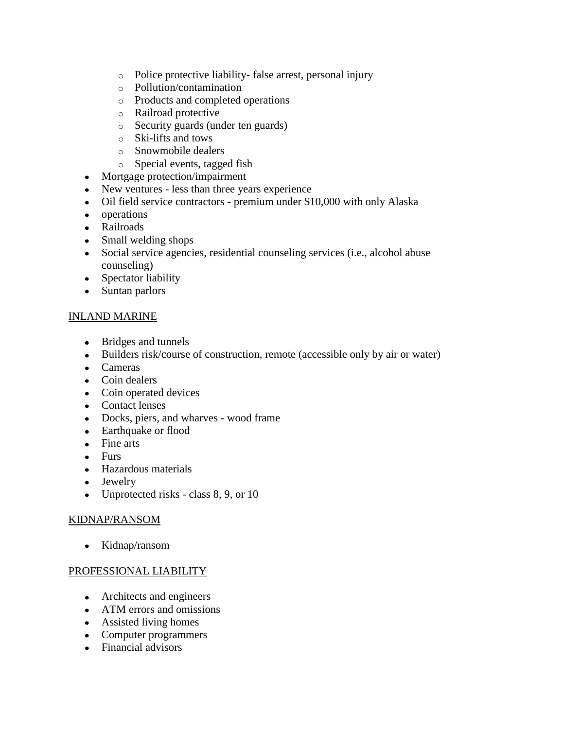- o Police protective liability- false arrest, personal injury
- o Pollution/contamination
- o Products and completed operations
- o Railroad protective
- o Security guards (under ten guards)
- o Ski-lifts and tows
- o Snowmobile dealers
- o Special events, tagged fish
- Mortgage protection/impairment
- New ventures less than three years experience
- Oil field service contractors premium under \$10,000 with only Alaska
- operations
- Railroads
- Small welding shops
- Social service agencies, residential counseling services (i.e., alcohol abuse counseling)
- Spectator liability
- Suntan parlors

## INLAND MARINE

- Bridges and tunnels
- Builders risk/course of construction, remote (accessible only by air or water)
- Cameras
- Coin dealers
- Coin operated devices
- Contact lenses
- Docks, piers, and wharves wood frame
- Earthquake or flood
- Fine arts
- Furs
- Hazardous materials
- Jewelry
- Unprotected risks class 8, 9, or 10

## KIDNAP/RANSOM

• Kidnap/ransom

#### PROFESSIONAL LIABILITY

- Architects and engineers
- ATM errors and omissions
- Assisted living homes
- Computer programmers
- Financial advisors